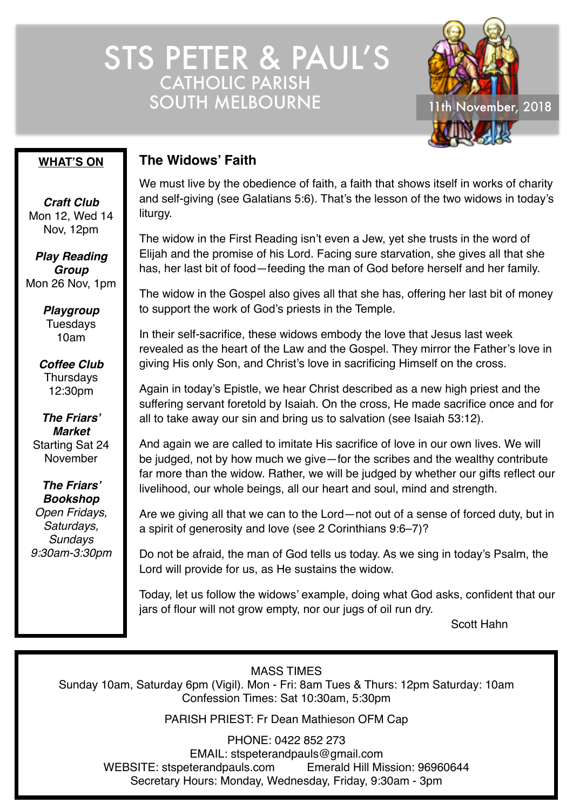STS PETER & PAUL'S CATHOLIC PARISH SOUTH MELBOURNE 11th November, 2018



### **WHAT'S ON**

*Craft Club* Mon 12, Wed 14 Nov, 12pm

*Play Reading Group* Mon 26 Nov, 1pm

> *Playgroup* Tuesdays 10am

*Coffee Club* **Thursdays** 12:30pm

*The Friars' Market* Starting Sat 24 November

*The Friars' Bookshop Open Fridays, Saturdays, Sundays 9:30am-3:30pm*

## **The Widows' Faith**

We must live by the obedience of faith, a faith that shows itself in works of charity and self-giving (see Galatians 5:6). That's the lesson of the two widows in today's liturgy.

The widow in the First Reading isn't even a Jew, yet she trusts in the word of Elijah and the promise of his Lord. Facing sure starvation, she gives all that she has, her last bit of food—feeding the man of God before herself and her family.

The widow in the Gospel also gives all that she has, offering her last bit of money to support the work of God's priests in the Temple.

In their self-sacrifice, these widows embody the love that Jesus last week revealed as the heart of the Law and the Gospel. They mirror the Father's love in giving His only Son, and Christ's love in sacrificing Himself on the cross.

Again in today's Epistle, we hear Christ described as a new high priest and the suffering servant foretold by Isaiah. On the cross, He made sacrifice once and for all to take away our sin and bring us to salvation (see Isaiah 53:12).

And again we are called to imitate His sacrifice of love in our own lives. We will be judged, not by how much we give—for the scribes and the wealthy contribute far more than the widow. Rather, we will be judged by whether our gifts reflect our livelihood, our whole beings, all our heart and soul, mind and strength.

Are we giving all that we can to the Lord—not out of a sense of forced duty, but in a spirit of generosity and love (see 2 Corinthians 9:6–7)?

Do not be afraid, the man of God tells us today. As we sing in today's Psalm, the Lord will provide for us, as He sustains the widow.

Today, let us follow the widows' example, doing what God asks, confident that our jars of flour will not grow empty, nor our jugs of oil run dry.

Scott Hahn

MASS TIMES

Sunday 10am, Saturday 6pm (Vigil). Mon - Fri: 8am Tues & Thurs: 12pm Saturday: 10am Confession Times: Sat 10:30am, 5:30pm

PARISH PRIEST: Fr Dean Mathieson OFM Cap

PHONE: 0422 852 273 EMAIL: stspeterandpauls@gmail.com WEBSITE: stspeterandpauls.com Emerald Hill Mission: 96960644 Secretary Hours: Monday, Wednesday, Friday, 9:30am - 3pm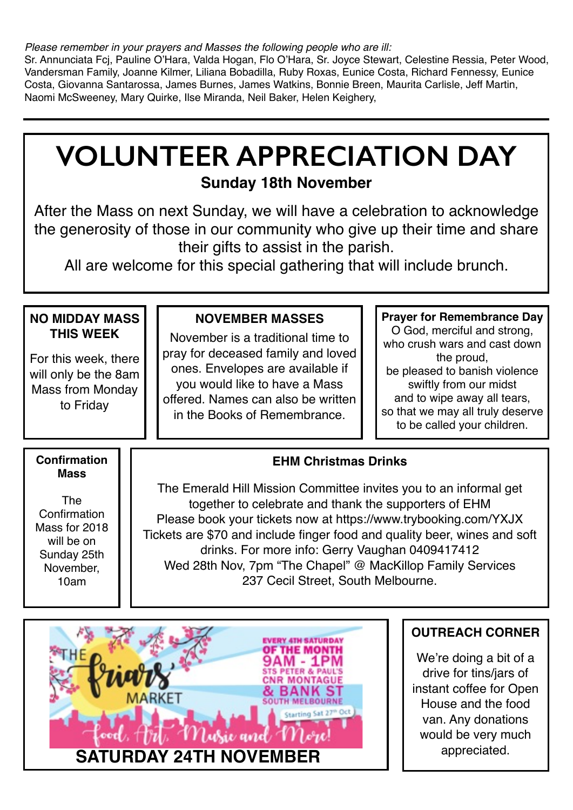*Please remember in your prayers and Masses the following people who are ill:*

Sr. Annunciata Fcj, Pauline O'Hara, Valda Hogan, Flo O'Hara, Sr. Joyce Stewart, Celestine Ressia, Peter Wood, Vandersman Family, Joanne Kilmer, Liliana Bobadilla, Ruby Roxas, Eunice Costa, Richard Fennessy, Eunice Costa, Giovanna Santarossa, James Burnes, James Watkins, Bonnie Breen, Maurita Carlisle, Jeff Martin, Naomi McSweeney, Mary Quirke, Ilse Miranda, Neil Baker, Helen Keighery,

# **VOLUNTEER APPRECIATION DAY Sunday 18th November**

After the Mass on next Sunday, we will have a celebration to acknowledge the generosity of those in our community who give up their time and share their gifts to assist in the parish.

All are welcome for this special gathering that will include brunch.

| <b>NO MIDDAY MASS</b><br><b>THIS WEEK</b><br>For this week, there<br>will only be the 8am<br><b>Mass from Monday</b><br>to Friday | <b>NOVEMBER MASSES</b><br>November is a traditional time to<br>pray for deceased family and loved<br>ones. Envelopes are available if<br>you would like to have a Mass<br>offered. Names can also be written<br>in the Books of Remembrance.                                                                                                                                                                                                                     | <b>Prayer for Remembrance Day</b><br>O God, merciful and strong,<br>who crush wars and cast down<br>the proud,<br>be pleased to banish violence<br>swiftly from our midst<br>and to wipe away all tears,<br>so that we may all truly deserve<br>to be called your children. |
|-----------------------------------------------------------------------------------------------------------------------------------|------------------------------------------------------------------------------------------------------------------------------------------------------------------------------------------------------------------------------------------------------------------------------------------------------------------------------------------------------------------------------------------------------------------------------------------------------------------|-----------------------------------------------------------------------------------------------------------------------------------------------------------------------------------------------------------------------------------------------------------------------------|
| <b>Confirmation</b><br><b>Mass</b><br>The<br>Confirmation<br>Mass for 2018<br>will be on<br>Sunday 25th<br>November,<br>10am      | <b>EHM Christmas Drinks</b><br>The Emerald Hill Mission Committee invites you to an informal get<br>together to celebrate and thank the supporters of EHM<br>Please book your tickets now at https://www.trybooking.com/YXJX<br>Tickets are \$70 and include finger food and quality beer, wines and soft<br>drinks. For more info: Gerry Vaughan 0409417412<br>Wed 28th Nov, 7pm "The Chapel" @ MacKillop Family Services<br>237 Cecil Street, South Melbourne. |                                                                                                                                                                                                                                                                             |



# **OUTREACH CORNER**

We're doing a bit of a drive for tins/jars of instant coffee for Open House and the food van. Any donations would be very much appreciated.